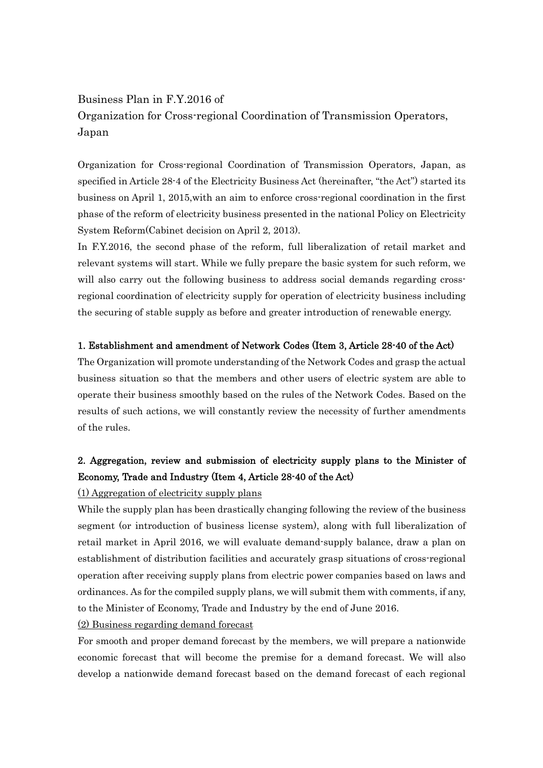# Business Plan in F.Y.2016 of Organization for Cross-regional Coordination of Transmission Operators, Japan

Organization for Cross-regional Coordination of Transmission Operators, Japan, as specified in Article 28-4 of the Electricity Business Act (hereinafter, "the Act") started its business on April 1, 2015,with an aim to enforce cross-regional coordination in the first phase of the reform of electricity business presented in the national Policy on Electricity System Reform(Cabinet decision on April 2, 2013).

In F.Y.2016, the second phase of the reform, full liberalization of retail market and relevant systems will start. While we fully prepare the basic system for such reform, we will also carry out the following business to address social demands regarding crossregional coordination of electricity supply for operation of electricity business including the securing of stable supply as before and greater introduction of renewable energy.

### 1. Establishment and amendment of Network Codes (Item 3, Article 28-40 of the Act)

The Organization will promote understanding of the Network Codes and grasp the actual business situation so that the members and other users of electric system are able to operate their business smoothly based on the rules of the Network Codes. Based on the results of such actions, we will constantly review the necessity of further amendments of the rules.

## 2. Aggregation, review and submission of electricity supply plans to the Minister of Economy, Trade and Industry (Item 4, Article 28-40 of the Act)

### (1) Aggregation of electricity supply plans

While the supply plan has been drastically changing following the review of the business segment (or introduction of business license system), along with full liberalization of retail market in April 2016, we will evaluate demand-supply balance, draw a plan on establishment of distribution facilities and accurately grasp situations of cross-regional operation after receiving supply plans from electric power companies based on laws and ordinances. As for the compiled supply plans, we will submit them with comments, if any, to the Minister of Economy, Trade and Industry by the end of June 2016.

### (2) Business regarding demand forecast

For smooth and proper demand forecast by the members, we will prepare a nationwide economic forecast that will become the premise for a demand forecast. We will also develop a nationwide demand forecast based on the demand forecast of each regional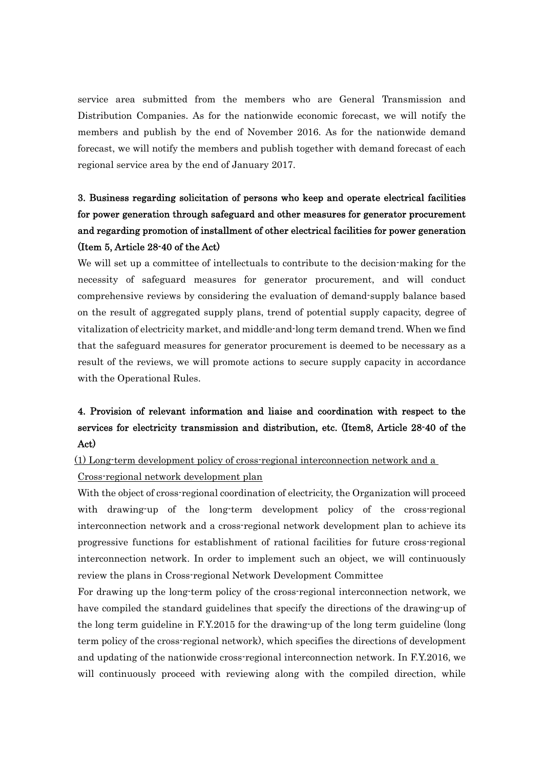service area submitted from the members who are General Transmission and Distribution Companies. As for the nationwide economic forecast, we will notify the members and publish by the end of November 2016. As for the nationwide demand forecast, we will notify the members and publish together with demand forecast of each regional service area by the end of January 2017.

# 3. Business regarding solicitation of persons who keep and operate electrical facilities for power generation through safeguard and other measures for generator procurement and regarding promotion of installment of other electrical facilities for power generation (Item 5, Article 28-40 of the Act)

We will set up a committee of intellectuals to contribute to the decision-making for the necessity of safeguard measures for generator procurement, and will conduct comprehensive reviews by considering the evaluation of demand-supply balance based on the result of aggregated supply plans, trend of potential supply capacity, degree of vitalization of electricity market, and middle-and-long term demand trend. When we find that the safeguard measures for generator procurement is deemed to be necessary as a result of the reviews, we will promote actions to secure supply capacity in accordance with the Operational Rules.

# 4. Provision of relevant information and liaise and coordination with respect to the services for electricity transmission and distribution, etc. (Item8, Article 28-40 of the Act)

[(1) Long-term development policy of cross-regional interconnection network and a

### Cross-regional network development plan

With the object of cross-regional coordination of electricity, the Organization will proceed with drawing-up of the long-term development policy of the cross-regional interconnection network and a cross-regional network development plan to achieve its progressive functions for establishment of rational facilities for future cross-regional interconnection network. In order to implement such an object, we will continuously review the plans in Cross-regional Network Development Committee

For drawing up the long-term policy of the cross-regional interconnection network, we have compiled the standard guidelines that specify the directions of the drawing-up of the long term guideline in F.Y.2015 for the drawing-up of the long term guideline (long term policy of the cross-regional network), which specifies the directions of development and updating of the nationwide cross-regional interconnection network. In F.Y.2016, we will continuously proceed with reviewing along with the compiled direction, while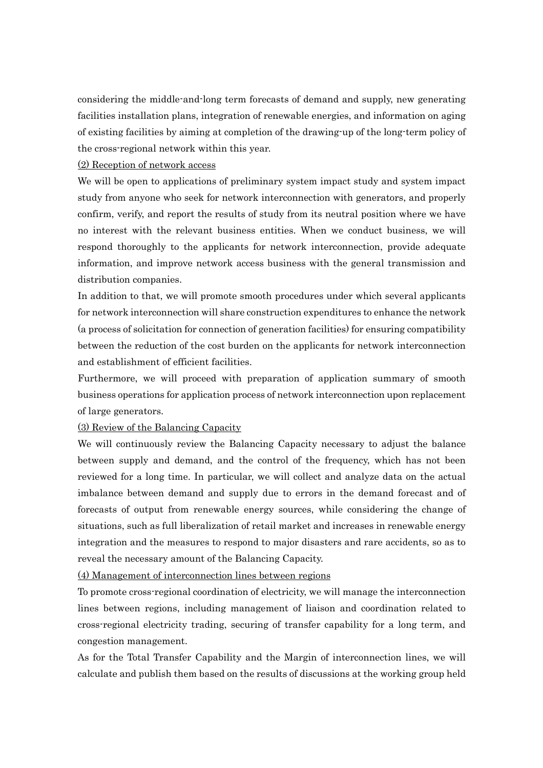considering the middle-and-long term forecasts of demand and supply, new generating facilities installation plans, integration of renewable energies, and information on aging of existing facilities by aiming at completion of the drawing-up of the long-term policy of the cross-regional network within this year.

#### (2) Reception of network access

We will be open to applications of preliminary system impact study and system impact study from anyone who seek for network interconnection with generators, and properly confirm, verify, and report the results of study from its neutral position where we have no interest with the relevant business entities. When we conduct business, we will respond thoroughly to the applicants for network interconnection, provide adequate information, and improve network access business with the general transmission and distribution companies.

In addition to that, we will promote smooth procedures under which several applicants for network interconnection will share construction expenditures to enhance the network (a process of solicitation for connection of generation facilities) for ensuring compatibility between the reduction of the cost burden on the applicants for network interconnection and establishment of efficient facilities.

Furthermore, we will proceed with preparation of application summary of smooth business operations for application process of network interconnection upon replacement of large generators.

#### (3) Review of the Balancing Capacity

We will continuously review the Balancing Capacity necessary to adjust the balance between supply and demand, and the control of the frequency, which has not been reviewed for a long time. In particular, we will collect and analyze data on the actual imbalance between demand and supply due to errors in the demand forecast and of forecasts of output from renewable energy sources, while considering the change of situations, such as full liberalization of retail market and increases in renewable energy integration and the measures to respond to major disasters and rare accidents, so as to reveal the necessary amount of the Balancing Capacity.

(4) Management of interconnection lines between regions

To promote cross-regional coordination of electricity, we will manage the interconnection lines between regions, including management of liaison and coordination related to cross-regional electricity trading, securing of transfer capability for a long term, and congestion management.

As for the Total Transfer Capability and the Margin of interconnection lines, we will calculate and publish them based on the results of discussions at the working group held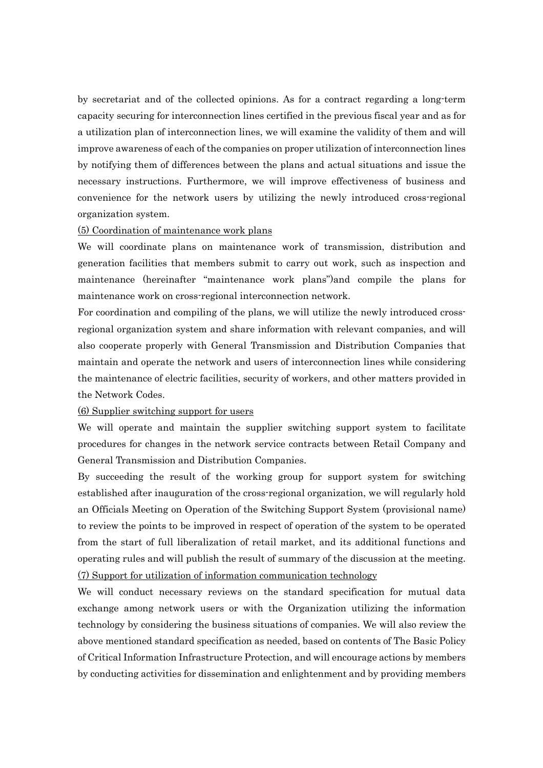by secretariat and of the collected opinions. As for a contract regarding a long-term capacity securing for interconnection lines certified in the previous fiscal year and as for a utilization plan of interconnection lines, we will examine the validity of them and will improve awareness of each of the companies on proper utilization of interconnection lines by notifying them of differences between the plans and actual situations and issue the necessary instructions. Furthermore, we will improve effectiveness of business and convenience for the network users by utilizing the newly introduced cross-regional organization system.

### (5) Coordination of maintenance work plans

We will coordinate plans on maintenance work of transmission, distribution and generation facilities that members submit to carry out work, such as inspection and maintenance (hereinafter "maintenance work plans")and compile the plans for maintenance work on cross-regional interconnection network.

For coordination and compiling of the plans, we will utilize the newly introduced crossregional organization system and share information with relevant companies, and will also cooperate properly with General Transmission and Distribution Companies that maintain and operate the network and users of interconnection lines while considering the maintenance of electric facilities, security of workers, and other matters provided in the Network Codes.

#### (6) Supplier switching support for users

We will operate and maintain the supplier switching support system to facilitate procedures for changes in the network service contracts between Retail Company and General Transmission and Distribution Companies.

By succeeding the result of the working group for support system for switching established after inauguration of the cross-regional organization, we will regularly hold an Officials Meeting on Operation of the Switching Support System (provisional name) to review the points to be improved in respect of operation of the system to be operated from the start of full liberalization of retail market, and its additional functions and operating rules and will publish the result of summary of the discussion at the meeting. (7) Support for utilization of information communication technology

We will conduct necessary reviews on the standard specification for mutual data exchange among network users or with the Organization utilizing the information technology by considering the business situations of companies. We will also review the above mentioned standard specification as needed, based on contents of The Basic Policy of Critical Information Infrastructure Protection, and will encourage actions by members by conducting activities for dissemination and enlightenment and by providing members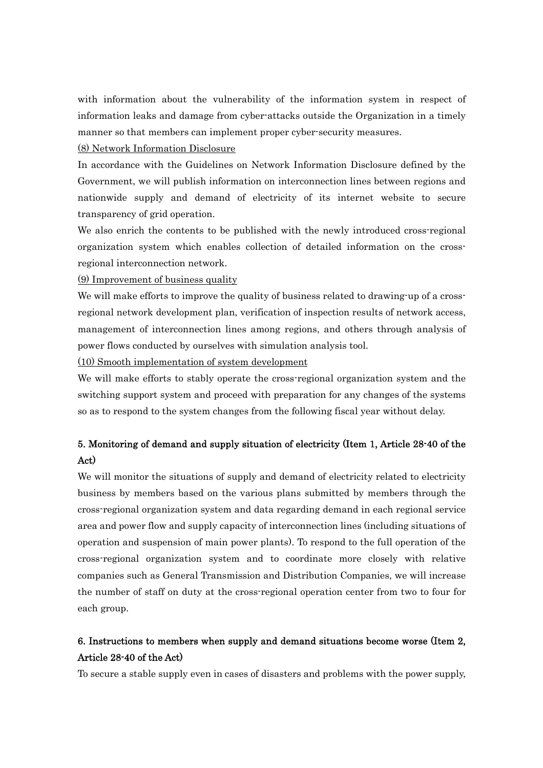with information about the vulnerability of the information system in respect of information leaks and damage from cyber-attacks outside the Organization in a timely manner so that members can implement proper cyber-security measures.

#### (8) Network Information Disclosure

In accordance with the Guidelines on Network Information Disclosure defined by the Government, we will publish information on interconnection lines between regions and nationwide supply and demand of electricity of its internet website to secure transparency of grid operation.

We also enrich the contents to be published with the newly introduced cross-regional organization system which enables collection of detailed information on the crossregional interconnection network.

(9) Improvement of business quality

We will make efforts to improve the quality of business related to drawing-up of a crossregional network development plan, verification of inspection results of network access, management of interconnection lines among regions, and others through analysis of power flows conducted by ourselves with simulation analysis tool.

(10) Smooth implementation of system development

We will make efforts to stably operate the cross-regional organization system and the switching support system and proceed with preparation for any changes of the systems so as to respond to the system changes from the following fiscal year without delay.

## 5. Monitoring of demand and supply situation of electricity (Item 1, Article 28-40 of the Act)

We will monitor the situations of supply and demand of electricity related to electricity business by members based on the various plans submitted by members through the cross-regional organization system and data regarding demand in each regional service area and power flow and supply capacity of interconnection lines (including situations of operation and suspension of main power plants). To respond to the full operation of the cross-regional organization system and to coordinate more closely with relative companies such as General Transmission and Distribution Companies, we will increase the number of staff on duty at the cross-regional operation center from two to four for each group.

### 6. Instructions to members when supply and demand situations become worse (Item 2, Article 28-40 of the Act)

To secure a stable supply even in cases of disasters and problems with the power supply,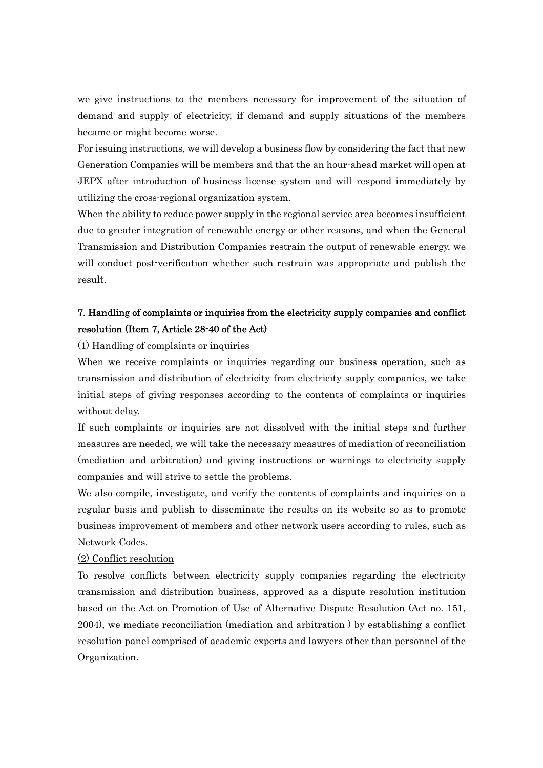we give instructions to the members necessary for improvement of the situation of demand and supply of electricity, if demand and supply situations of the members became or might become worse.

For issuing instructions, we will develop a business flow by considering the fact that new Generation Companies will be members and that the an hour-ahead market will open at JEPX after introduction of business license system and will respond immediately by utilizing the cross-regional organization system.

When the ability to reduce power supply in the regional service area becomes insufficient due to greater integration of renewable energy or other reasons, and when the General Transmission and Distribution Companies restrain the output of renewable energy, we will conduct post-verification whether such restrain was appropriate and publish the result.

### 7. Handling of complaints or inquiries from the electricity supply companies and conflict resolution (Item 7, Article 28-40 of the Act)

(1) Handling of complaints or inquiries

When we receive complaints or inquiries regarding our business operation, such as transmission and distribution of electricity from electricity supply companies, we take initial steps of giving responses according to the contents of complaints or inquiries without delay.

If such complaints or inquiries are not dissolved with the initial steps and further measures are needed, we will take the necessary measures of mediation of reconciliation (mediation and arbitration) and giving instructions or warnings to electricity supply companies and will strive to settle the problems.

We also compile, investigate, and verify the contents of complaints and inquiries on a regular basis and publish to disseminate the results on its website so as to promote business improvement of members and other network users according to rules, such as Network Codes.

### (2) Conflict resolution

To resolve conflicts between electricity supply companies regarding the electricity transmission and distribution business, approved as a dispute resolution institution based on the Act on Promotion of Use of Alternative Dispute Resolution (Act no. 151, 2004), we mediate reconciliation (mediation and arbitration ) by establishing a conflict resolution panel comprised of academic experts and lawyers other than personnel of the Organization.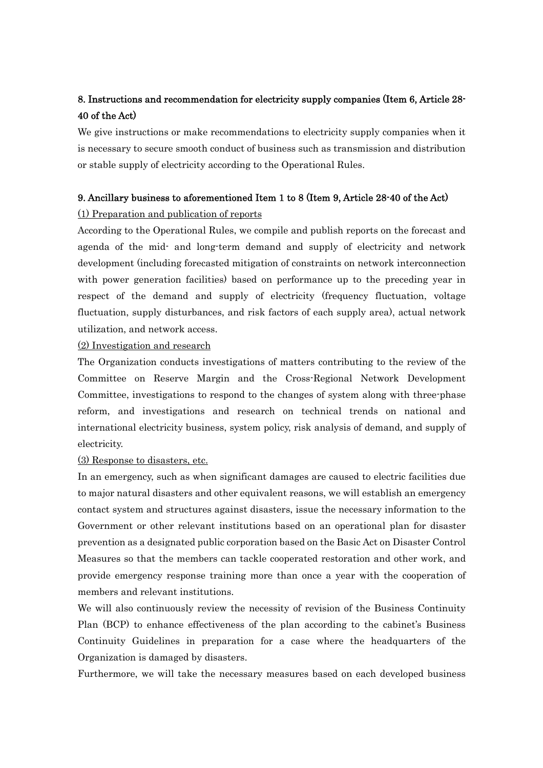### 8. Instructions and recommendation for electricity supply companies (Item 6, Article 28- 40 of the Act)

We give instructions or make recommendations to electricity supply companies when it is necessary to secure smooth conduct of business such as transmission and distribution or stable supply of electricity according to the Operational Rules.

### 9. Ancillary business to aforementioned Item 1 to 8 (Item 9, Article 28-40 of the Act)

### (1) Preparation and publication of reports

According to the Operational Rules, we compile and publish reports on the forecast and agenda of the mid- and long-term demand and supply of electricity and network development (including forecasted mitigation of constraints on network interconnection with power generation facilities) based on performance up to the preceding year in respect of the demand and supply of electricity (frequency fluctuation, voltage fluctuation, supply disturbances, and risk factors of each supply area), actual network utilization, and network access.

### (2) Investigation and research

The Organization conducts investigations of matters contributing to the review of the Committee on Reserve Margin and the Cross-Regional Network Development Committee, investigations to respond to the changes of system along with three-phase reform, and investigations and research on technical trends on national and international electricity business, system policy, risk analysis of demand, and supply of electricity.

### (3) Response to disasters, etc.

In an emergency, such as when significant damages are caused to electric facilities due to major natural disasters and other equivalent reasons, we will establish an emergency contact system and structures against disasters, issue the necessary information to the Government or other relevant institutions based on an operational plan for disaster prevention as a designated public corporation based on the Basic Act on Disaster Control Measures so that the members can tackle cooperated restoration and other work, and provide emergency response training more than once a year with the cooperation of members and relevant institutions.

We will also continuously review the necessity of revision of the Business Continuity Plan (BCP) to enhance effectiveness of the plan according to the cabinet's Business Continuity Guidelines in preparation for a case where the headquarters of the Organization is damaged by disasters.

Furthermore, we will take the necessary measures based on each developed business